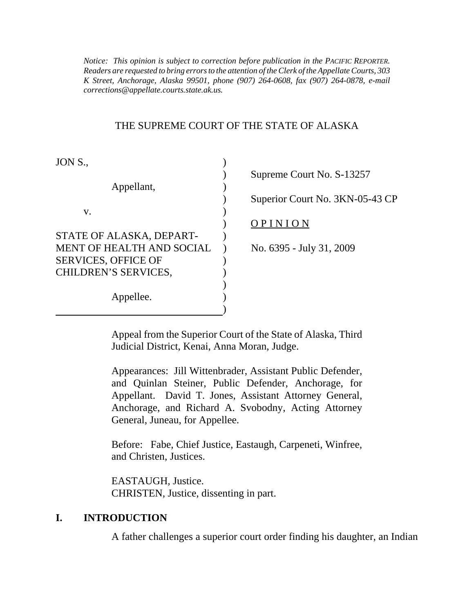*K Street, Anchorage, Alaska 99501, phone (907) 264-0608, fax (907) 264-0878, e-mail Notice: This opinion is subject to correction before publication in the PACIFIC REPORTER. Readers are requested to bring errors to the attention of the Clerk of the Appellate Courts, 303 corrections@appellate.courts.state.ak.us.* 

#### THE SUPREME COURT OF THE STATE OF ALASKA

| JON S., |  |
|---------|--|
|         |  |

|                             | 54.01                    |
|-----------------------------|--------------------------|
| Appellant,                  |                          |
|                             | Superior Court No. 3KN-  |
| V.                          |                          |
|                             | OPINION                  |
| STATE OF ALASKA, DEPART-    |                          |
| MENT OF HEALTH AND SOCIAL   | No. 6395 - July 31, 2009 |
| SERVICES, OFFICE OF         |                          |
| <b>CHILDREN'S SERVICES,</b> |                          |
|                             |                          |
| Appellee.                   |                          |
|                             |                          |
|                             |                          |

| Supreme Court No. S-13257       |
|---------------------------------|
|                                 |
| Superior Court No. 3KN-05-43 CP |
|                                 |
| OPINION                         |
|                                 |
| No. 6395 - July 31, 2009        |
|                                 |
|                                 |
|                                 |

Appeal from the Superior Court of the State of Alaska, Third Judicial District, Kenai, Anna Moran, Judge.

Appearances: Jill Wittenbrader, Assistant Public Defender, and Quinlan Steiner, Public Defender, Anchorage, for Appellant. David T. Jones, Assistant Attorney General, Anchorage, and Richard A. Svobodny, Acting Attorney General, Juneau, for Appellee.

Before: Fabe, Chief Justice, Eastaugh, Carpeneti, Winfree, and Christen, Justices.

EASTAUGH, Justice. CHRISTEN, Justice, dissenting in part.

#### **I. INTRODUCTION**

A father challenges a superior court order finding his daughter, an Indian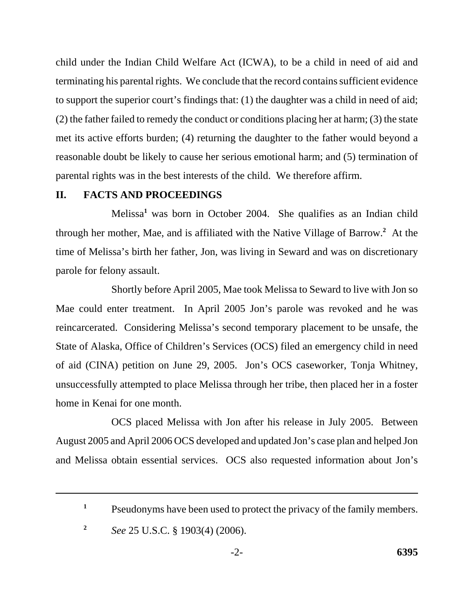child under the Indian Child Welfare Act (ICWA), to be a child in need of aid and terminating his parental rights. We conclude that the record contains sufficient evidence to support the superior court's findings that: (1) the daughter was a child in need of aid; (2) the father failed to remedy the conduct or conditions placing her at harm; (3) the state met its active efforts burden; (4) returning the daughter to the father would beyond a reasonable doubt be likely to cause her serious emotional harm; and (5) termination of parental rights was in the best interests of the child. We therefore affirm.

#### **II. FACTS AND PROCEEDINGS**

Melissa**<sup>1</sup>** was born in October 2004. She qualifies as an Indian child through her mother, Mae, and is affiliated with the Native Village of Barrow.**<sup>2</sup>** At the time of Melissa's birth her father, Jon, was living in Seward and was on discretionary parole for felony assault.

Shortly before April 2005, Mae took Melissa to Seward to live with Jon so Mae could enter treatment. In April 2005 Jon's parole was revoked and he was reincarcerated. Considering Melissa's second temporary placement to be unsafe, the State of Alaska, Office of Children's Services (OCS) filed an emergency child in need of aid (CINA) petition on June 29, 2005. Jon's OCS caseworker, Tonja Whitney, unsuccessfully attempted to place Melissa through her tribe, then placed her in a foster home in Kenai for one month.

OCS placed Melissa with Jon after his release in July 2005. Between August 2005 and April 2006 OCS developed and updated Jon's case plan and helped Jon and Melissa obtain essential services. OCS also requested information about Jon's

<sup>&</sup>lt;sup>1</sup> Pseudonyms have been used to protect the privacy of the family members.

**<sup>2</sup>***See* 25 U.S.C. § 1903(4) (2006).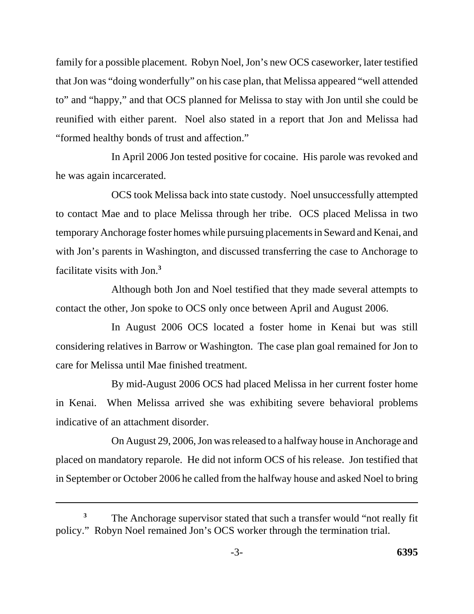family for a possible placement. Robyn Noel, Jon's new OCS caseworker, later testified that Jon was "doing wonderfully" on his case plan, that Melissa appeared "well attended to" and "happy," and that OCS planned for Melissa to stay with Jon until she could be reunified with either parent. Noel also stated in a report that Jon and Melissa had "formed healthy bonds of trust and affection."

In April 2006 Jon tested positive for cocaine. His parole was revoked and he was again incarcerated.

OCS took Melissa back into state custody. Noel unsuccessfully attempted to contact Mae and to place Melissa through her tribe. OCS placed Melissa in two temporary Anchorage foster homes while pursuing placements in Seward and Kenai, and with Jon's parents in Washington, and discussed transferring the case to Anchorage to facilitate visits with Jon.**<sup>3</sup>**

Although both Jon and Noel testified that they made several attempts to contact the other, Jon spoke to OCS only once between April and August 2006.

In August 2006 OCS located a foster home in Kenai but was still considering relatives in Barrow or Washington. The case plan goal remained for Jon to care for Melissa until Mae finished treatment.

By mid-August 2006 OCS had placed Melissa in her current foster home in Kenai. When Melissa arrived she was exhibiting severe behavioral problems indicative of an attachment disorder.

On August 29, 2006, Jon was released to a halfway house in Anchorage and placed on mandatory reparole. He did not inform OCS of his release. Jon testified that in September or October 2006 he called from the halfway house and asked Noel to bring

The Anchorage supervisor stated that such a transfer would "not really fit policy." Robyn Noel remained Jon's OCS worker through the termination trial. **3**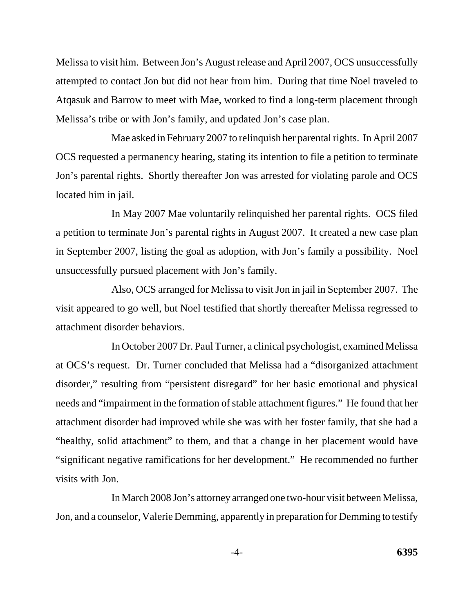Melissa to visit him. Between Jon's August release and April 2007, OCS unsuccessfully attempted to contact Jon but did not hear from him. During that time Noel traveled to Atqasuk and Barrow to meet with Mae, worked to find a long-term placement through Melissa's tribe or with Jon's family, and updated Jon's case plan.

Mae asked in February 2007 to relinquish her parental rights. In April 2007 OCS requested a permanency hearing, stating its intention to file a petition to terminate Jon's parental rights. Shortly thereafter Jon was arrested for violating parole and OCS located him in jail.

In May 2007 Mae voluntarily relinquished her parental rights. OCS filed a petition to terminate Jon's parental rights in August 2007. It created a new case plan in September 2007, listing the goal as adoption, with Jon's family a possibility. Noel unsuccessfully pursued placement with Jon's family.

Also, OCS arranged for Melissa to visit Jon in jail in September 2007. The visit appeared to go well, but Noel testified that shortly thereafter Melissa regressed to attachment disorder behaviors.

In October 2007 Dr. Paul Turner, a clinical psychologist, examined Melissa at OCS's request. Dr. Turner concluded that Melissa had a "disorganized attachment disorder," resulting from "persistent disregard" for her basic emotional and physical needs and "impairment in the formation of stable attachment figures." He found that her attachment disorder had improved while she was with her foster family, that she had a "healthy, solid attachment" to them, and that a change in her placement would have "significant negative ramifications for her development." He recommended no further visits with Jon.

In March 2008 Jon's attorney arranged one two-hour visit between Melissa, Jon, and a counselor, Valerie Demming, apparently in preparation for Demming to testify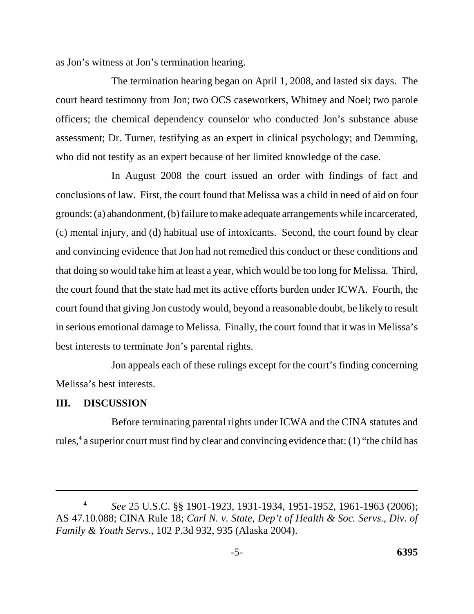as Jon's witness at Jon's termination hearing.

The termination hearing began on April 1, 2008, and lasted six days. The court heard testimony from Jon; two OCS caseworkers, Whitney and Noel; two parole officers; the chemical dependency counselor who conducted Jon's substance abuse assessment; Dr. Turner, testifying as an expert in clinical psychology; and Demming, who did not testify as an expert because of her limited knowledge of the case.

In August 2008 the court issued an order with findings of fact and conclusions of law. First, the court found that Melissa was a child in need of aid on four grounds: (a) abandonment, (b) failure to make adequate arrangements while incarcerated, (c) mental injury, and (d) habitual use of intoxicants. Second, the court found by clear and convincing evidence that Jon had not remedied this conduct or these conditions and that doing so would take him at least a year, which would be too long for Melissa. Third, the court found that the state had met its active efforts burden under ICWA. Fourth, the court found that giving Jon custody would, beyond a reasonable doubt, be likely to result in serious emotional damage to Melissa. Finally, the court found that it was in Melissa's best interests to terminate Jon's parental rights.

Jon appeals each of these rulings except for the court's finding concerning Melissa's best interests.

#### **III. DISCUSSION**

Before terminating parental rights under ICWA and the CINA statutes and rules,<sup>4</sup> a superior court must find by clear and convincing evidence that: (1) "the child has

*See* 25 U.S.C. §§ 1901-1923, 1931-1934, 1951-1952, 1961-1963 (2006); AS 47.10.088; CINA Rule 18; *Carl N. v. State, Dep't of Health & Soc. Servs., Div. of Family & Youth Servs.*, 102 P.3d 932, 935 (Alaska 2004). **4**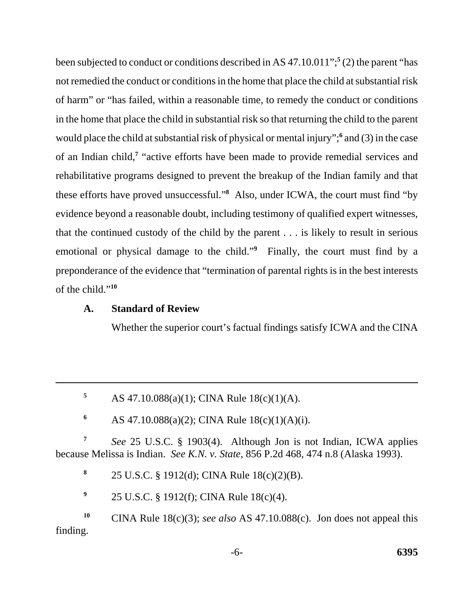been subjected to conduct or conditions described in AS 47.10.011";**<sup>5</sup>** (2) the parent "has not remedied the conduct or conditions in the home that place the child at substantial risk of harm" or "has failed, within a reasonable time, to remedy the conduct or conditions in the home that place the child in substantial risk so that returning the child to the parent would place the child at substantial risk of physical or mental injury";<sup>6</sup> and (3) in the case of an Indian child,**<sup>7</sup>** "active efforts have been made to provide remedial services and rehabilitative programs designed to prevent the breakup of the Indian family and that these efforts have proved unsuccessful."**<sup>8</sup>** Also, under ICWA, the court must find "by evidence beyond a reasonable doubt, including testimony of qualified expert witnesses, that the continued custody of the child by the parent . . . is likely to result in serious emotional or physical damage to the child."<sup>9</sup> Finally, the court must find by a preponderance of the evidence that "termination of parental rights is in the best interests of the child."**<sup>10</sup>**

### **A. Standard of Review**

Whether the superior court's factual findings satisfy ICWA and the CINA

5 AS  $47.10.088(a)(1)$ ; CINA Rule  $18(c)(1)(A)$ .

**6** AS 47.10.088(a)(2); CINA Rule  $18(c)(1)(A)(i)$ .

**<sup>7</sup>***See* 25 U.S.C. § 1903(4). Although Jon is not Indian, ICWA applies because Melissa is Indian. *See K.N. v. State*, 856 P.2d 468, 474 n.8 (Alaska 1993).

**<sup>8</sup>**25 U.S.C. § 1912(d); CINA Rule 18(c)(2)(B).

<sup>9</sup> 25 U.S.C. § 1912(f); CINA Rule 18(c)(4).

<sup>10</sup> CINA Rule 18(c)(3); *see also* AS 47.10.088(c). Jon does not appeal this finding.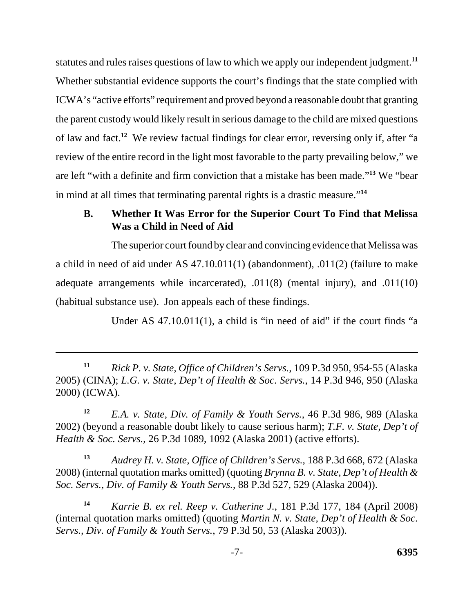statutes and rules raises questions of law to which we apply our independent judgment.**<sup>11</sup>** Whether substantial evidence supports the court's findings that the state complied with ICWA's "active efforts" requirement and proved beyond a reasonable doubt that granting the parent custody would likely result in serious damage to the child are mixed questions of law and fact.**<sup>12</sup>** We review factual findings for clear error, reversing only if, after "a review of the entire record in the light most favorable to the party prevailing below," we are left "with a definite and firm conviction that a mistake has been made."**<sup>13</sup>** We "bear in mind at all times that terminating parental rights is a drastic measure."**<sup>14</sup>**

## **B. Whether It Was Error for the Superior Court To Find that Melissa Was a Child in Need of Aid**

The superior court found by clear and convincing evidence that Melissa was a child in need of aid under AS 47.10.011(1) (abandonment), .011(2) (failure to make adequate arrangements while incarcerated), .011(8) (mental injury), and .011(10) (habitual substance use). Jon appeals each of these findings.

Under AS 47.10.011(1), a child is "in need of aid" if the court finds "a

**<sup>13</sup>***Audrey H. v. State, Office of Children's Servs.*, 188 P.3d 668, 672 (Alaska 2008) (internal quotation marks omitted) (quoting *Brynna B. v. State, Dep't of Health & Soc. Servs., Div. of Family & Youth Servs.*, 88 P.3d 527, 529 (Alaska 2004)).

**<sup>14</sup>***Karrie B. ex rel. Reep v. Catherine J.*, 181 P.3d 177, 184 (April 2008) (internal quotation marks omitted) (quoting *Martin N. v. State, Dep't of Health & Soc. Servs., Div. of Family & Youth Servs.*, 79 P.3d 50, 53 (Alaska 2003)).

**<sup>11</sup>***Rick P. v. State, Office of Children's Servs.*, 109 P.3d 950, 954-55 (Alaska 2005) (CINA); *L.G. v. State, Dep't of Health & Soc. Servs.*, 14 P.3d 946, 950 (Alaska 2000) (ICWA).

**<sup>12</sup>***E.A. v. State, Div. of Family & Youth Servs.*, 46 P.3d 986, 989 (Alaska 2002) (beyond a reasonable doubt likely to cause serious harm); *T.F. v. State, Dep't of Health & Soc. Servs.*, 26 P.3d 1089, 1092 (Alaska 2001) (active efforts).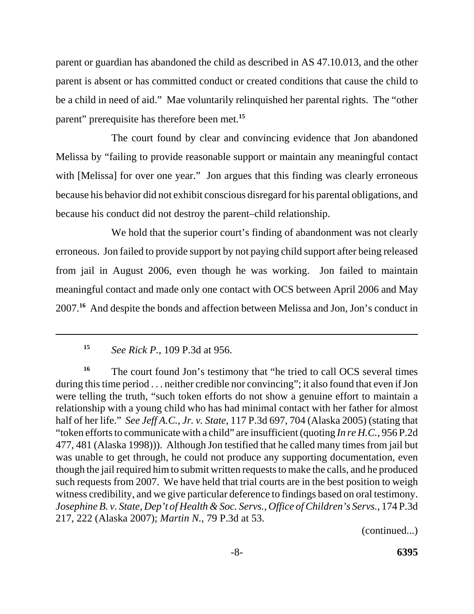parent or guardian has abandoned the child as described in AS 47.10.013, and the other parent is absent or has committed conduct or created conditions that cause the child to be a child in need of aid." Mae voluntarily relinquished her parental rights. The "other parent" prerequisite has therefore been met.**<sup>15</sup>**

The court found by clear and convincing evidence that Jon abandoned Melissa by "failing to provide reasonable support or maintain any meaningful contact with [Melissa] for over one year." Jon argues that this finding was clearly erroneous because his behavior did not exhibit conscious disregard for his parental obligations, and because his conduct did not destroy the parent–child relationship.

We hold that the superior court's finding of abandonment was not clearly erroneous. Jon failed to provide support by not paying child support after being released from jail in August 2006, even though he was working. Jon failed to maintain meaningful contact and made only one contact with OCS between April 2006 and May 2007.**<sup>16</sup>** And despite the bonds and affection between Melissa and Jon, Jon's conduct in

(continued...)

**<sup>15</sup>***See Rick P.*, 109 P.3d at 956.

<sup>&</sup>lt;sup>16</sup> The court found Jon's testimony that "he tried to call OCS several times during this time period . . . neither credible nor convincing"; it also found that even if Jon were telling the truth, "such token efforts do not show a genuine effort to maintain a relationship with a young child who has had minimal contact with her father for almost half of her life." *See Jeff A.C., Jr. v. State*, 117 P.3d 697, 704 (Alaska 2005) (stating that "token efforts to communicate with a child" are insufficient (quoting *In re H.C.*, 956 P.2d 477, 481 (Alaska 1998))). Although Jon testified that he called many times from jail but was unable to get through, he could not produce any supporting documentation, even though the jail required him to submit written requests to make the calls, and he produced such requests from 2007. We have held that trial courts are in the best position to weigh witness credibility, and we give particular deference to findings based on oral testimony. *Josephine B. v. State, Dep't of Health & Soc. Servs., Office of Children's Servs.*, 174 P.3d 217, 222 (Alaska 2007); *Martin N.*, 79 P.3d at 53.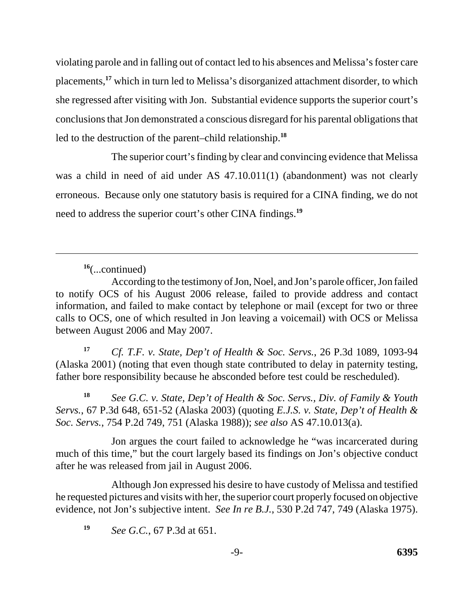violating parole and in falling out of contact led to his absences and Melissa's foster care placements,**<sup>17</sup>** which in turn led to Melissa's disorganized attachment disorder, to which she regressed after visiting with Jon. Substantial evidence supports the superior court's conclusions that Jon demonstrated a conscious disregard for his parental obligations that led to the destruction of the parent–child relationship.**<sup>18</sup>**

 need to address the superior court's other CINA findings.**<sup>19</sup>** The superior court's finding by clear and convincing evidence that Melissa was a child in need of aid under AS 47.10.011(1) (abandonment) was not clearly erroneous. Because only one statutory basis is required for a CINA finding, we do not

**<sup>16</sup>**(...continued)

**<sup>17</sup>***Cf. T.F. v. State, Dep't of Health & Soc. Servs.*, 26 P.3d 1089, 1093-94 (Alaska 2001) (noting that even though state contributed to delay in paternity testing, father bore responsibility because he absconded before test could be rescheduled).

**<sup>18</sup>***See G.C. v. State, Dep't of Health & Soc. Servs., Div. of Family & Youth Servs.*, 67 P.3d 648, 651-52 (Alaska 2003) (quoting *E.J.S. v. State, Dep't of Health & Soc. Servs.*, 754 P.2d 749, 751 (Alaska 1988)); *see also* AS 47.10.013(a).

Jon argues the court failed to acknowledge he "was incarcerated during much of this time," but the court largely based its findings on Jon's objective conduct after he was released from jail in August 2006.

 Although Jon expressed his desire to have custody of Melissa and testified he requested pictures and visits with her, the superior court properly focused on objective evidence, not Jon's subjective intent. *See In re B.J.*, 530 P.2d 747, 749 (Alaska 1975).

**<sup>19</sup>***See G.C.*, 67 P.3d at 651.

According to the testimony of Jon, Noel, and Jon's parole officer, Jon failed to notify OCS of his August 2006 release, failed to provide address and contact information, and failed to make contact by telephone or mail (except for two or three calls to OCS, one of which resulted in Jon leaving a voicemail) with OCS or Melissa between August 2006 and May 2007.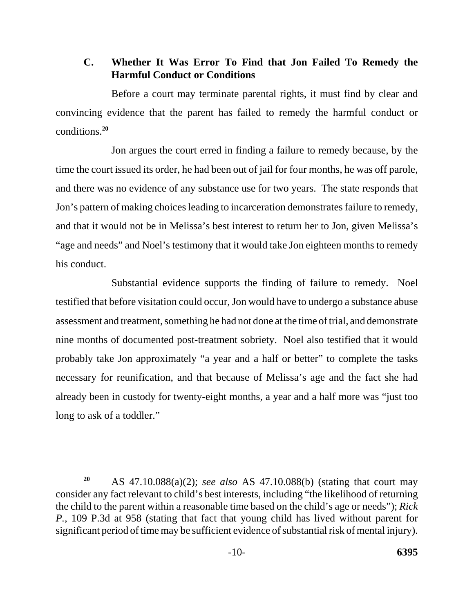# **C. Whether It Was Error To Find that Jon Failed To Remedy the Harmful Conduct or Conditions**

Before a court may terminate parental rights, it must find by clear and convincing evidence that the parent has failed to remedy the harmful conduct or conditions.**<sup>20</sup>**

Jon argues the court erred in finding a failure to remedy because, by the time the court issued its order, he had been out of jail for four months, he was off parole, and there was no evidence of any substance use for two years. The state responds that Jon's pattern of making choices leading to incarceration demonstrates failure to remedy, and that it would not be in Melissa's best interest to return her to Jon, given Melissa's "age and needs" and Noel's testimony that it would take Jon eighteen months to remedy his conduct.

Substantial evidence supports the finding of failure to remedy. Noel testified that before visitation could occur, Jon would have to undergo a substance abuse assessment and treatment, something he had not done at the time of trial, and demonstrate nine months of documented post-treatment sobriety. Noel also testified that it would probably take Jon approximately "a year and a half or better" to complete the tasks necessary for reunification, and that because of Melissa's age and the fact she had already been in custody for twenty-eight months, a year and a half more was "just too long to ask of a toddler."

AS 47.10.088(a)(2); *see also* AS 47.10.088(b) (stating that court may consider any fact relevant to child's best interests, including "the likelihood of returning the child to the parent within a reasonable time based on the child's age or needs"); *Rick P.*, 109 P.3d at 958 (stating that fact that young child has lived without parent for significant period of time may be sufficient evidence of substantial risk of mental injury). **20**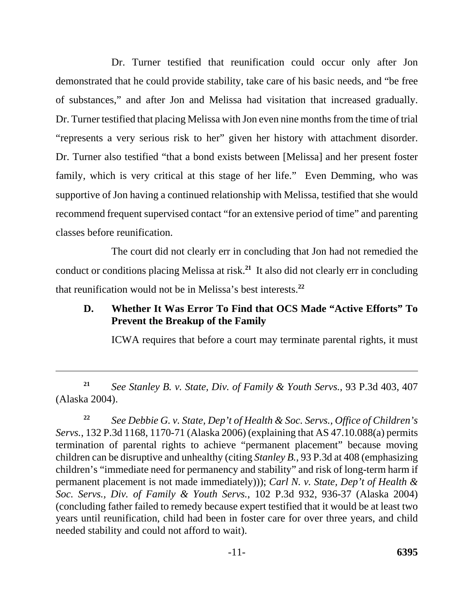Dr. Turner testified that reunification could occur only after Jon demonstrated that he could provide stability, take care of his basic needs, and "be free of substances," and after Jon and Melissa had visitation that increased gradually. Dr. Turner testified that placing Melissa with Jon even nine months from the time of trial "represents a very serious risk to her" given her history with attachment disorder. Dr. Turner also testified "that a bond exists between [Melissa] and her present foster family, which is very critical at this stage of her life." Even Demming, who was supportive of Jon having a continued relationship with Melissa, testified that she would recommend frequent supervised contact "for an extensive period of time" and parenting classes before reunification.

The court did not clearly err in concluding that Jon had not remedied the conduct or conditions placing Melissa at risk.**<sup>21</sup>** It also did not clearly err in concluding that reunification would not be in Melissa's best interests.**<sup>22</sup>**

# **D. Whether It Was Error To Find that OCS Made "Active Efforts" To Prevent the Breakup of the Family**

ICWA requires that before a court may terminate parental rights, it must

**<sup>21</sup>***See Stanley B. v. State, Div. of Family & Youth Servs.*, 93 P.3d 403, 407 (Alaska 2004).

 **<sup>22</sup>***See Debbie G. v. State, Dep't of Health & Soc. Servs., Office of Children's Servs.*, 132 P.3d 1168, 1170-71 (Alaska 2006) (explaining that AS 47.10.088(a) permits termination of parental rights to achieve "permanent placement" because moving children can be disruptive and unhealthy (citing *Stanley B.*, 93 P.3d at 408 (emphasizing children's "immediate need for permanency and stability" and risk of long-term harm if permanent placement is not made immediately))); *Carl N. v. State, Dep't of Health & Soc. Servs., Div. of Family & Youth Servs.*, 102 P.3d 932, 936-37 (Alaska 2004) (concluding father failed to remedy because expert testified that it would be at least two years until reunification, child had been in foster care for over three years, and child needed stability and could not afford to wait).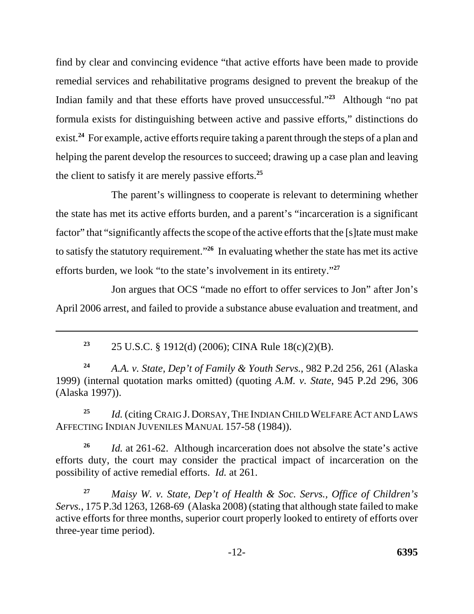find by clear and convincing evidence "that active efforts have been made to provide remedial services and rehabilitative programs designed to prevent the breakup of the Indian family and that these efforts have proved unsuccessful."**<sup>23</sup>** Although "no pat formula exists for distinguishing between active and passive efforts," distinctions do exist.<sup>24</sup> For example, active efforts require taking a parent through the steps of a plan and helping the parent develop the resources to succeed; drawing up a case plan and leaving the client to satisfy it are merely passive efforts.**<sup>25</sup>**

The parent's willingness to cooperate is relevant to determining whether the state has met its active efforts burden, and a parent's "incarceration is a significant factor" that "significantly affects the scope of the active efforts that the [s] tate must make to satisfy the statutory requirement."**<sup>26</sup>** In evaluating whether the state has met its active efforts burden, we look "to the state's involvement in its entirety."**<sup>27</sup>**

Jon argues that OCS "made no effort to offer services to Jon" after Jon's April 2006 arrest, and failed to provide a substance abuse evaluation and treatment, and

**<sup>23</sup>**25 U.S.C. § 1912(d) (2006); CINA Rule 18(c)(2)(B).

**<sup>24</sup>***A.A. v. State, Dep't of Family & Youth Servs.*, 982 P.2d 256, 261 (Alaska 1999) (internal quotation marks omitted) (quoting *A.M. v. State*, 945 P.2d 296, 306 (Alaska 1997)).

<sup>25</sup> *Id.* (citing CRAIG J. DORSAY, THE INDIAN CHILD WELFARE ACT AND LAWS AFFECTING INDIAN JUVENILES MANUAL 157-58 (1984)).

**<sup>26</sup>***Id.* at 261-62. Although incarceration does not absolve the state's active efforts duty, the court may consider the practical impact of incarceration on the possibility of active remedial efforts. *Id.* at 261.

**<sup>27</sup>***Maisy W. v. State, Dep't of Health & Soc. Servs., Office of Children's Servs.*, 175 P.3d 1263, 1268-69 (Alaska 2008) (stating that although state failed to make active efforts for three months, superior court properly looked to entirety of efforts over three-year time period).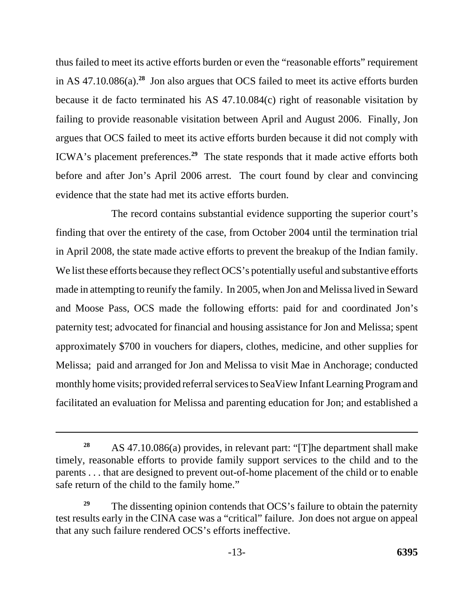thus failed to meet its active efforts burden or even the "reasonable efforts" requirement in AS 47.10.086(a).**<sup>28</sup>** Jon also argues that OCS failed to meet its active efforts burden because it de facto terminated his AS 47.10.084(c) right of reasonable visitation by failing to provide reasonable visitation between April and August 2006. Finally, Jon argues that OCS failed to meet its active efforts burden because it did not comply with ICWA's placement preferences.**<sup>29</sup>** The state responds that it made active efforts both before and after Jon's April 2006 arrest. The court found by clear and convincing evidence that the state had met its active efforts burden.

The record contains substantial evidence supporting the superior court's finding that over the entirety of the case, from October 2004 until the termination trial in April 2008, the state made active efforts to prevent the breakup of the Indian family. We list these efforts because they reflect OCS's potentially useful and substantive efforts made in attempting to reunify the family. In 2005, when Jon and Melissa lived in Seward and Moose Pass, OCS made the following efforts: paid for and coordinated Jon's paternity test; advocated for financial and housing assistance for Jon and Melissa; spent approximately \$700 in vouchers for diapers, clothes, medicine, and other supplies for Melissa; paid and arranged for Jon and Melissa to visit Mae in Anchorage; conducted monthly home visits; provided referral services to SeaView Infant Learning Program and facilitated an evaluation for Melissa and parenting education for Jon; and established a

<sup>&</sup>lt;sup>28</sup> AS 47.10.086(a) provides, in relevant part: "[T]he department shall make timely, reasonable efforts to provide family support services to the child and to the parents . . . that are designed to prevent out-of-home placement of the child or to enable safe return of the child to the family home."

<sup>&</sup>lt;sup>29</sup> The dissenting opinion contends that OCS's failure to obtain the paternity test results early in the CINA case was a "critical" failure. Jon does not argue on appeal that any such failure rendered OCS's efforts ineffective.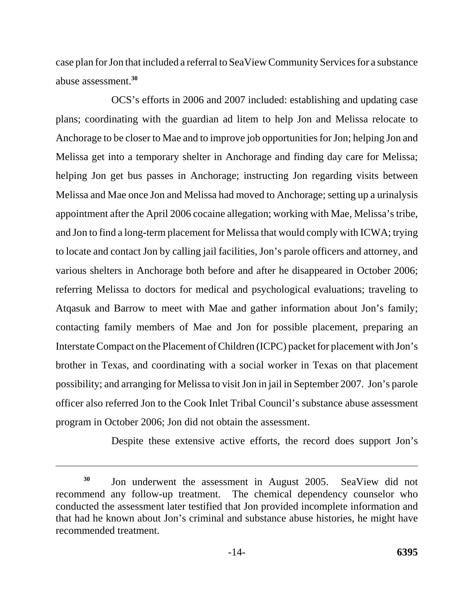case plan for Jon that included a referral to SeaView Community Services for a substance abuse assessment.**<sup>30</sup>**

OCS's efforts in 2006 and 2007 included: establishing and updating case plans; coordinating with the guardian ad litem to help Jon and Melissa relocate to Anchorage to be closer to Mae and to improve job opportunities for Jon; helping Jon and Melissa get into a temporary shelter in Anchorage and finding day care for Melissa; helping Jon get bus passes in Anchorage; instructing Jon regarding visits between Melissa and Mae once Jon and Melissa had moved to Anchorage; setting up a urinalysis appointment after the April 2006 cocaine allegation; working with Mae, Melissa's tribe, and Jon to find a long-term placement for Melissa that would comply with ICWA; trying to locate and contact Jon by calling jail facilities, Jon's parole officers and attorney, and various shelters in Anchorage both before and after he disappeared in October 2006; referring Melissa to doctors for medical and psychological evaluations; traveling to Atqasuk and Barrow to meet with Mae and gather information about Jon's family; contacting family members of Mae and Jon for possible placement, preparing an Interstate Compact on the Placement of Children (ICPC) packet for placement with Jon's brother in Texas, and coordinating with a social worker in Texas on that placement possibility; and arranging for Melissa to visit Jon in jail in September 2007. Jon's parole officer also referred Jon to the Cook Inlet Tribal Council's substance abuse assessment program in October 2006; Jon did not obtain the assessment.

Despite these extensive active efforts, the record does support Jon's

<sup>&</sup>lt;sup>30</sup> Jon underwent the assessment in August 2005. SeaView did not recommend any follow-up treatment. The chemical dependency counselor who conducted the assessment later testified that Jon provided incomplete information and that had he known about Jon's criminal and substance abuse histories, he might have recommended treatment.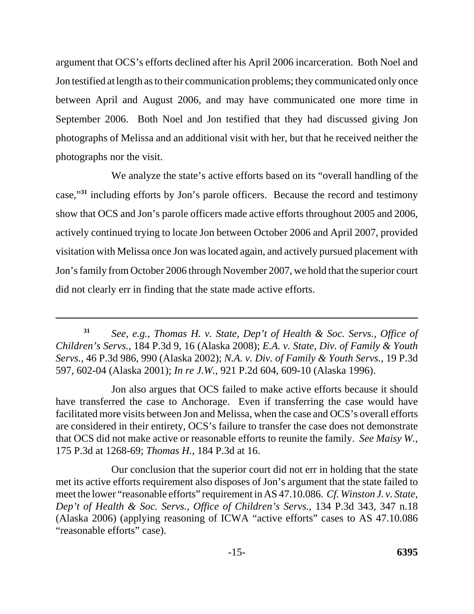argument that OCS's efforts declined after his April 2006 incarceration. Both Noel and Jon testified at length as to their communication problems; they communicated only once between April and August 2006, and may have communicated one more time in September 2006. Both Noel and Jon testified that they had discussed giving Jon photographs of Melissa and an additional visit with her, but that he received neither the photographs nor the visit.

We analyze the state's active efforts based on its "overall handling of the case,"**<sup>31</sup>** including efforts by Jon's parole officers. Because the record and testimony show that OCS and Jon's parole officers made active efforts throughout 2005 and 2006, actively continued trying to locate Jon between October 2006 and April 2007, provided visitation with Melissa once Jon was located again, and actively pursued placement with Jon's family from October 2006 through November 2007, we hold that the superior court did not clearly err in finding that the state made active efforts.

Our conclusion that the superior court did not err in holding that the state met its active efforts requirement also disposes of Jon's argument that the state failed to meet the lower "reasonable efforts" requirement in AS 47.10.086. *Cf. Winston J. v. State, Dep't of Health & Soc. Servs., Office of Children's Servs.*, 134 P.3d 343, 347 n.18 (Alaska 2006) (applying reasoning of ICWA "active efforts" cases to AS 47.10.086 "reasonable efforts" case).

 *Children's Servs.*, 184 P.3d 9, 16 (Alaska 2008); *E.A. v. State, Div. of Family & Youth Servs.*, 46 P.3d 986, 990 (Alaska 2002); *N.A. v. Div. of Family & Youth Servs.*, 19 P.3d **<sup>31</sup>***See, e.g.*, *Thomas H. v. State, Dep't of Health & Soc. Servs., Office of*  597, 602-04 (Alaska 2001); *In re J.W.*, 921 P.2d 604, 609-10 (Alaska 1996).

 that OCS did not make active or reasonable efforts to reunite the family. *See Maisy W.*, Jon also argues that OCS failed to make active efforts because it should have transferred the case to Anchorage. Even if transferring the case would have facilitated more visits between Jon and Melissa, when the case and OCS's overall efforts are considered in their entirety, OCS's failure to transfer the case does not demonstrate 175 P.3d at 1268-69; *Thomas H.*, 184 P.3d at 16.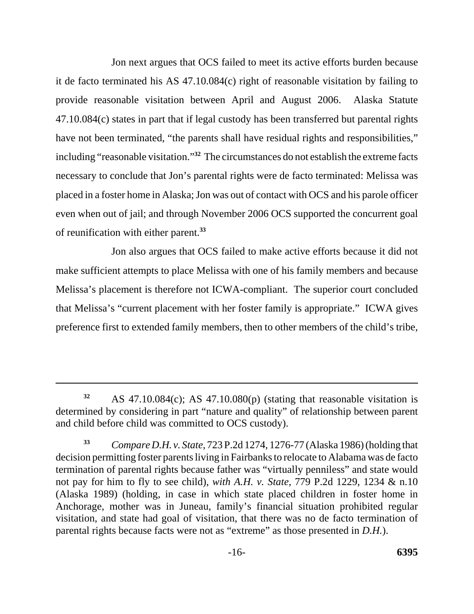Jon next argues that OCS failed to meet its active efforts burden because it de facto terminated his AS 47.10.084(c) right of reasonable visitation by failing to provide reasonable visitation between April and August 2006. Alaska Statute 47.10.084(c) states in part that if legal custody has been transferred but parental rights have not been terminated, "the parents shall have residual rights and responsibilities," including "reasonable visitation."**<sup>32</sup>** The circumstances do not establish the extreme facts necessary to conclude that Jon's parental rights were de facto terminated: Melissa was placed in a foster home in Alaska; Jon was out of contact with OCS and his parole officer even when out of jail; and through November 2006 OCS supported the concurrent goal of reunification with either parent.**<sup>33</sup>**

Jon also argues that OCS failed to make active efforts because it did not make sufficient attempts to place Melissa with one of his family members and because Melissa's placement is therefore not ICWA-compliant. The superior court concluded that Melissa's "current placement with her foster family is appropriate." ICWA gives preference first to extended family members, then to other members of the child's tribe,

**<sup>32</sup>**AS 47.10.084(c); AS 47.10.080(p) (stating that reasonable visitation is determined by considering in part "nature and quality" of relationship between parent and child before child was committed to OCS custody).

**<sup>33</sup>***Compare D.H. v. State*, 723 P.2d 1274, 1276-77 (Alaska 1986) (holding that decision permitting foster parents living in Fairbanks to relocate to Alabama was de facto termination of parental rights because father was "virtually penniless" and state would not pay for him to fly to see child), *with A.H. v. State*, 779 P.2d 1229, 1234 & n.10 (Alaska 1989) (holding, in case in which state placed children in foster home in Anchorage, mother was in Juneau, family's financial situation prohibited regular visitation, and state had goal of visitation, that there was no de facto termination of parental rights because facts were not as "extreme" as those presented in *D.H.*).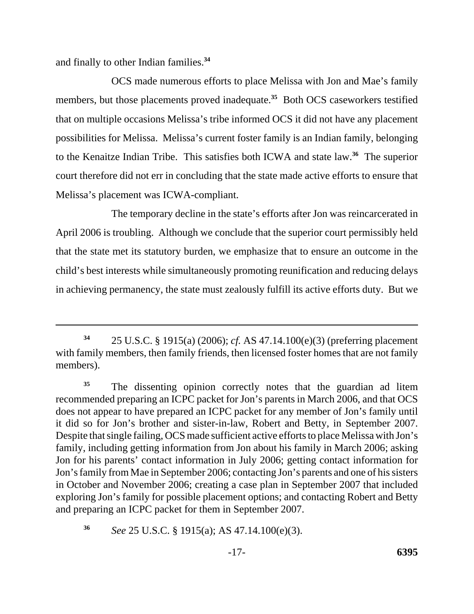and finally to other Indian families.**<sup>34</sup>**

OCS made numerous efforts to place Melissa with Jon and Mae's family members, but those placements proved inadequate.<sup>35</sup> Both OCS caseworkers testified that on multiple occasions Melissa's tribe informed OCS it did not have any placement possibilities for Melissa. Melissa's current foster family is an Indian family, belonging to the Kenaitze Indian Tribe. This satisfies both ICWA and state law.**<sup>36</sup>** The superior court therefore did not err in concluding that the state made active efforts to ensure that Melissa's placement was ICWA-compliant.

The temporary decline in the state's efforts after Jon was reincarcerated in April 2006 is troubling. Although we conclude that the superior court permissibly held that the state met its statutory burden, we emphasize that to ensure an outcome in the child's best interests while simultaneously promoting reunification and reducing delays in achieving permanency, the state must zealously fulfill its active efforts duty. But we

**<sup>36</sup>***See* 25 U.S.C. § 1915(a); AS 47.14.100(e)(3).

**<sup>34</sup>**25 U.S.C. § 1915(a) (2006); *cf.* AS 47.14.100(e)(3) (preferring placement with family members, then family friends, then licensed foster homes that are not family members).

<sup>&</sup>lt;sup>35</sup> The dissenting opinion correctly notes that the guardian ad litem recommended preparing an ICPC packet for Jon's parents in March 2006, and that OCS does not appear to have prepared an ICPC packet for any member of Jon's family until it did so for Jon's brother and sister-in-law, Robert and Betty, in September 2007. Despite that single failing, OCS made sufficient active efforts to place Melissa with Jon's family, including getting information from Jon about his family in March 2006; asking Jon for his parents' contact information in July 2006; getting contact information for Jon's family from Mae in September 2006; contacting Jon's parents and one of his sisters in October and November 2006; creating a case plan in September 2007 that included exploring Jon's family for possible placement options; and contacting Robert and Betty and preparing an ICPC packet for them in September 2007.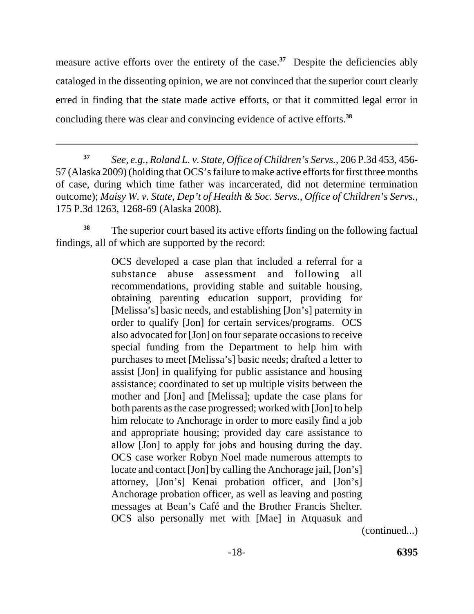measure active efforts over the entirety of the case.<sup>37</sup> Despite the deficiencies ably cataloged in the dissenting opinion, we are not convinced that the superior court clearly erred in finding that the state made active efforts, or that it committed legal error in concluding there was clear and convincing evidence of active efforts.**<sup>38</sup>**

<sup>38</sup>The superior court based its active efforts finding on the following factual findings, all of which are supported by the record:

> OCS developed a case plan that included a referral for a substance abuse assessment and following all recommendations, providing stable and suitable housing, obtaining parenting education support, providing for [Melissa's] basic needs, and establishing [Jon's] paternity in order to qualify [Jon] for certain services/programs. OCS also advocated for [Jon] on four separate occasions to receive special funding from the Department to help him with purchases to meet [Melissa's] basic needs; drafted a letter to assist [Jon] in qualifying for public assistance and housing assistance; coordinated to set up multiple visits between the mother and [Jon] and [Melissa]; update the case plans for both parents as the case progressed; worked with [Jon] to help him relocate to Anchorage in order to more easily find a job and appropriate housing; provided day care assistance to allow [Jon] to apply for jobs and housing during the day. OCS case worker Robyn Noel made numerous attempts to locate and contact [Jon] by calling the Anchorage jail, [Jon's] attorney, [Jon's] Kenai probation officer, and [Jon's] Anchorage probation officer, as well as leaving and posting messages at Bean's Café and the Brother Francis Shelter. OCS also personally met with [Mae] in Atquasuk and

(continued...)

**<sup>37</sup>***See, e.g.*, *Roland L. v. State, Office of Children's Servs.*, 206 P.3d 453, 456 57 (Alaska 2009) (holding that OCS's failure to make active efforts for first three months of case, during which time father was incarcerated, did not determine termination outcome); *Maisy W. v. State, Dep't of Health & Soc. Servs., Office of Children's Servs.*, 175 P.3d 1263, 1268-69 (Alaska 2008).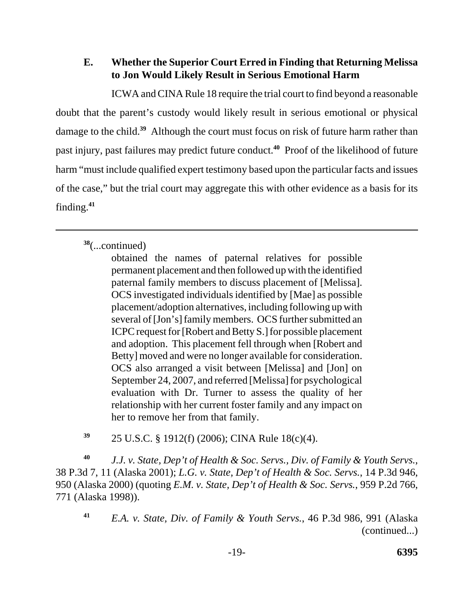# **E. Whether the Superior Court Erred in Finding that Returning Melissa to Jon Would Likely Result in Serious Emotional Harm**

ICWA and CINA Rule 18 require the trial court to find beyond a reasonable doubt that the parent's custody would likely result in serious emotional or physical damage to the child.**<sup>39</sup>** Although the court must focus on risk of future harm rather than past injury, past failures may predict future conduct.**<sup>40</sup>** Proof of the likelihood of future harm "must include qualified expert testimony based upon the particular facts and issues of the case," but the trial court may aggregate this with other evidence as a basis for its finding.**<sup>41</sup>**

# **<sup>38</sup>**(...continued)

**<sup>39</sup>** 25 U.S.C. § 1912(f) (2006); CINA Rule 18(c)(4).

**<sup>40</sup>***J.J. v. State, Dep't of Health & Soc. Servs., Div. of Family & Youth Servs.*, 38 P.3d 7, 11 (Alaska 2001); *L.G. v. State, Dep't of Health & Soc. Servs.*, 14 P.3d 946, 950 (Alaska 2000) (quoting *E.M. v. State, Dep't of Health & Soc. Servs.*, 959 P.2d 766, 771 (Alaska 1998)).

obtained the names of paternal relatives for possible permanent placement and then followed up with the identified paternal family members to discuss placement of [Melissa]. OCS investigated individuals identified by [Mae] as possible placement/adoption alternatives, including following up with several of [Jon's] family members. OCS further submitted an ICPC request for [Robert and Betty S.] for possible placement and adoption. This placement fell through when [Robert and Betty] moved and were no longer available for consideration. OCS also arranged a visit between [Melissa] and [Jon] on September 24, 2007, and referred [Melissa] for psychological evaluation with Dr. Turner to assess the quality of her relationship with her current foster family and any impact on her to remove her from that family.

 *E.A. v. State, Div. of Family & Youth Servs.*, 46 P.3d 986, 991 (Alaska (continued...) **41**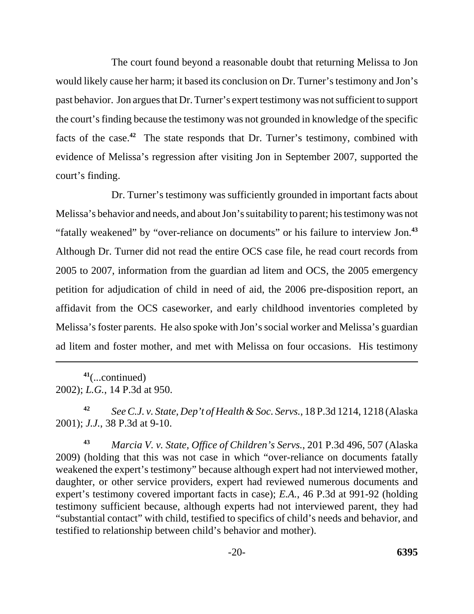The court found beyond a reasonable doubt that returning Melissa to Jon would likely cause her harm; it based its conclusion on Dr. Turner's testimony and Jon's past behavior. Jon argues that Dr. Turner's expert testimony was not sufficient to support the court's finding because the testimony was not grounded in knowledge of the specific facts of the case.**<sup>42</sup>** The state responds that Dr. Turner's testimony, combined with evidence of Melissa's regression after visiting Jon in September 2007, supported the court's finding.

Dr. Turner's testimony was sufficiently grounded in important facts about Melissa's behavior and needs, and about Jon's suitability to parent; his testimony was not "fatally weakened" by "over-reliance on documents" or his failure to interview Jon.**<sup>43</sup>** Although Dr. Turner did not read the entire OCS case file, he read court records from 2005 to 2007, information from the guardian ad litem and OCS, the 2005 emergency petition for adjudication of child in need of aid, the 2006 pre-disposition report, an affidavit from the OCS caseworker, and early childhood inventories completed by Melissa's foster parents. He also spoke with Jon's social worker and Melissa's guardian ad litem and foster mother, and met with Melissa on four occasions. His testimony

**<sup>41</sup>**(...continued) 2002); *L.G.*, 14 P.3d at 950.

**<sup>42</sup>***See C.J. v. State, Dep't of Health & Soc. Servs.*, 18 P.3d 1214, 1218 (Alaska 2001); *J.J.*, 38 P.3d at 9-10.

**<sup>43</sup>***Marcia V. v. State, Office of Children's Servs.*, 201 P.3d 496, 507 (Alaska 2009) (holding that this was not case in which "over-reliance on documents fatally weakened the expert's testimony" because although expert had not interviewed mother, daughter, or other service providers, expert had reviewed numerous documents and expert's testimony covered important facts in case); *E.A.*, 46 P.3d at 991-92 (holding testimony sufficient because, although experts had not interviewed parent, they had "substantial contact" with child, testified to specifics of child's needs and behavior, and testified to relationship between child's behavior and mother).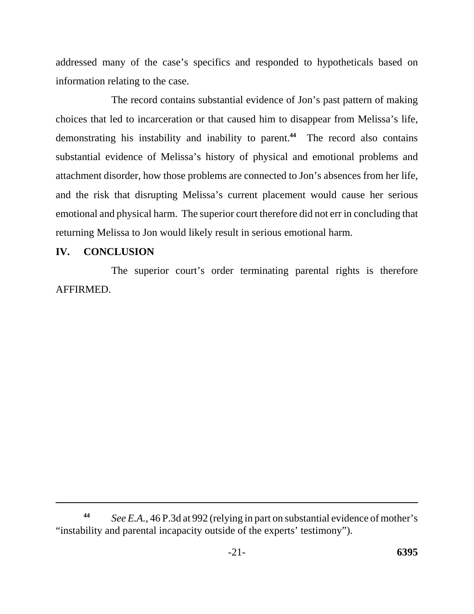addressed many of the case's specifics and responded to hypotheticals based on information relating to the case.

The record contains substantial evidence of Jon's past pattern of making choices that led to incarceration or that caused him to disappear from Melissa's life, demonstrating his instability and inability to parent.**<sup>44</sup>** The record also contains substantial evidence of Melissa's history of physical and emotional problems and attachment disorder, how those problems are connected to Jon's absences from her life, and the risk that disrupting Melissa's current placement would cause her serious emotional and physical harm. The superior court therefore did not err in concluding that returning Melissa to Jon would likely result in serious emotional harm.

### **IV. CONCLUSION**

The superior court's order terminating parental rights is therefore AFFIRMED.

*See E.A.*, 46 P.3d at 992 (relying in part on substantial evidence of mother's "instability and parental incapacity outside of the experts' testimony"). **44**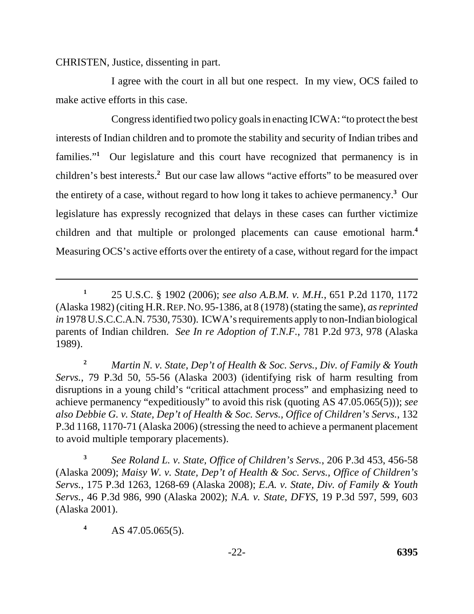CHRISTEN, Justice, dissenting in part.

I agree with the court in all but one respect. In my view, OCS failed to make active efforts in this case.

Congress identified two policy goals in enacting ICWA: "to protect the best interests of Indian children and to promote the stability and security of Indian tribes and families."<sup>1</sup> Our legislature and this court have recognized that permanency is in children's best interests.**<sup>2</sup>** But our case law allows "active efforts" to be measured over the entirety of a case, without regard to how long it takes to achieve permanency.**<sup>3</sup>** Our legislature has expressly recognized that delays in these cases can further victimize children and that multiple or prolonged placements can cause emotional harm.**<sup>4</sup>** Measuring OCS's active efforts over the entirety of a case, without regard for the impact

**<sup>2</sup>***Martin N. v. State, Dep't of Health & Soc. Servs., Div. of Family & Youth Servs.*, 79 P.3d 50, 55-56 (Alaska 2003) (identifying risk of harm resulting from disruptions in a young child's "critical attachment process" and emphasizing need to achieve permanency "expeditiously" to avoid this risk (quoting AS 47.05.065(5))); *see also Debbie G. v. State, Dep't of Health & Soc. Servs., Office of Children's Servs.*, 132 P.3d 1168, 1170-71 (Alaska 2006) (stressing the need to achieve a permanent placement to avoid multiple temporary placements).

**<sup>3</sup>***See Roland L. v. State, Office of Children's Servs.*, 206 P.3d 453, 456-58 (Alaska 2009); *Maisy W. v. State, Dep't of Health & Soc. Servs., Office of Children's Servs.*, 175 P.3d 1263, 1268-69 (Alaska 2008); *E.A. v. State, Div. of Family & Youth Servs.*, 46 P.3d 986, 990 (Alaska 2002); *N.A. v. State, DFYS*, 19 P.3d 597, 599, 603 (Alaska 2001).

**<sup>4</sup>**AS 47.05.065(5).

 (Alaska 1982) (citing H.R. REP. NO. 95-1386, at 8 (1978) (stating the same), *as reprinted*  **<sup>1</sup>**25 U.S.C. § 1902 (2006); *see also A.B.M. v. M.H.*, 651 P.2d 1170, 1172 *in* 1978 U.S.C.C.A.N. 7530, 7530). ICWA's requirements apply to non-Indian biological parents of Indian children. *See In re Adoption of T.N.F.*, 781 P.2d 973, 978 (Alaska 1989).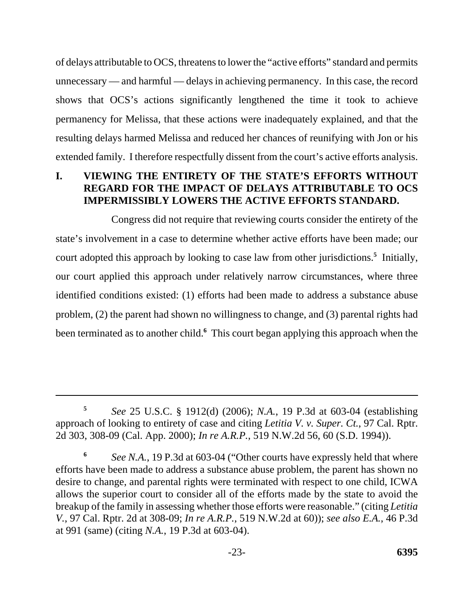of delays attributable to OCS, threatens to lower the "active efforts" standard and permits unnecessary — and harmful — delays in achieving permanency. In this case, the record shows that OCS's actions significantly lengthened the time it took to achieve permanency for Melissa, that these actions were inadequately explained, and that the resulting delays harmed Melissa and reduced her chances of reunifying with Jon or his extended family. I therefore respectfully dissent from the court's active efforts analysis.

### **I. VIEWING THE ENTIRETY OF THE STATE'S EFFORTS WITHOUT REGARD FOR THE IMPACT OF DELAYS ATTRIBUTABLE TO OCS IMPERMISSIBLY LOWERS THE ACTIVE EFFORTS STANDARD.**

Congress did not require that reviewing courts consider the entirety of the state's involvement in a case to determine whether active efforts have been made; our court adopted this approach by looking to case law from other jurisdictions.**<sup>5</sup>** Initially, our court applied this approach under relatively narrow circumstances, where three identified conditions existed: (1) efforts had been made to address a substance abuse problem, (2) the parent had shown no willingness to change, and (3) parental rights had been terminated as to another child.**<sup>6</sup>** This court began applying this approach when the

**<sup>5</sup>***See* 25 U.S.C. § 1912(d) (2006); *N.A.*, 19 P.3d at 603-04 (establishing approach of looking to entirety of case and citing *Letitia V. v. Super. Ct.*, 97 Cal. Rptr. 2d 303, 308-09 (Cal. App. 2000); *In re A.R.P.*, 519 N.W.2d 56, 60 (S.D. 1994)).

**<sup>6</sup>***See N.A.*, 19 P.3d at 603-04 ("Other courts have expressly held that where efforts have been made to address a substance abuse problem, the parent has shown no desire to change, and parental rights were terminated with respect to one child, ICWA allows the superior court to consider all of the efforts made by the state to avoid the breakup of the family in assessing whether those efforts were reasonable." (citing *Letitia V.*, 97 Cal. Rptr. 2d at 308-09; *In re A.R.P.*, 519 N.W.2d at 60)); *see also E.A.*, 46 P.3d at 991 (same) (citing *N.A.*, 19 P.3d at 603-04).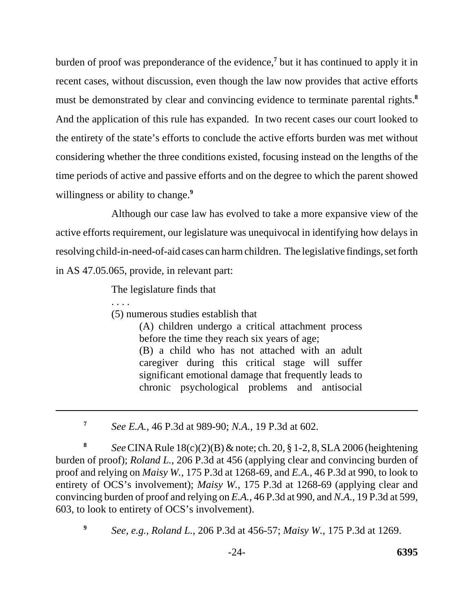burden of proof was preponderance of the evidence,**<sup>7</sup>** but it has continued to apply it in recent cases, without discussion, even though the law now provides that active efforts must be demonstrated by clear and convincing evidence to terminate parental rights.**<sup>8</sup>** And the application of this rule has expanded. In two recent cases our court looked to the entirety of the state's efforts to conclude the active efforts burden was met without considering whether the three conditions existed, focusing instead on the lengths of the time periods of active and passive efforts and on the degree to which the parent showed willingness or ability to change.**<sup>9</sup>**

Although our case law has evolved to take a more expansive view of the active efforts requirement, our legislature was unequivocal in identifying how delays in resolving child-in-need-of-aid cases can harm children. The legislative findings, set forth in AS 47.05.065, provide, in relevant part:

The legislature finds that

. . . . (5) numerous studies establish that

> (A) children undergo a critical attachment process before the time they reach six years of age;

> (B) a child who has not attached with an adult caregiver during this critical stage will suffer significant emotional damage that frequently leads to chronic psychological problems and antisocial

**<sup>7</sup>***See E.A.*, 46 P.3d at 989-90; *N.A.*, 19 P.3d at 602.

**<sup>8</sup>***See* CINA Rule 18(c)(2)(B) & note; ch. 20, § 1-2, 8, SLA 2006 (heightening burden of proof); *Roland L.*, 206 P.3d at 456 (applying clear and convincing burden of proof and relying on *Maisy W.*, 175 P.3d at 1268-69, and *E.A.*, 46 P.3d at 990, to look to entirety of OCS's involvement); *Maisy W.*, 175 P.3d at 1268-69 (applying clear and convincing burden of proof and relying on *E.A.*, 46 P.3d at 990, and *N.A.*, 19 P.3d at 599, 603, to look to entirety of OCS's involvement).

*See, e.g.*, *Roland L.*, 206 P.3d at 456-57; *Maisy W.*, 175 P.3d at 1269. **9**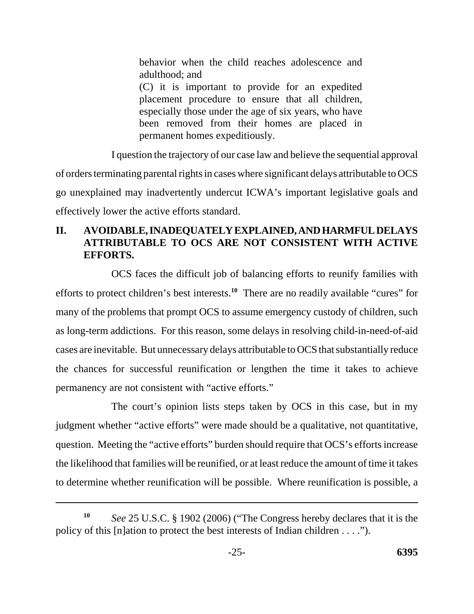behavior when the child reaches adolescence and adulthood; and (C) it is important to provide for an expedited placement procedure to ensure that all children, especially those under the age of six years, who have been removed from their homes are placed in permanent homes expeditiously.

I question the trajectory of our case law and believe the sequential approval of orders terminating parental rights in cases where significant delays attributable to OCS go unexplained may inadvertently undercut ICWA's important legislative goals and effectively lower the active efforts standard.

# **II. AVOIDABLE, INADEQUATELY EXPLAINED, AND HARMFUL DELAYS ATTRIBUTABLE TO OCS ARE NOT CONSISTENT WITH ACTIVE EFFORTS.**

OCS faces the difficult job of balancing efforts to reunify families with efforts to protect children's best interests.**<sup>10</sup>** There are no readily available "cures" for many of the problems that prompt OCS to assume emergency custody of children, such as long-term addictions. For this reason, some delays in resolving child-in-need-of-aid cases are inevitable. But unnecessary delays attributable to OCS that substantially reduce the chances for successful reunification or lengthen the time it takes to achieve permanency are not consistent with "active efforts."

The court's opinion lists steps taken by OCS in this case, but in my judgment whether "active efforts" were made should be a qualitative, not quantitative, question. Meeting the "active efforts" burden should require that OCS's efforts increase the likelihood that families will be reunified, or at least reduce the amount of time it takes to determine whether reunification will be possible. Where reunification is possible, a

*See* 25 U.S.C. § 1902 (2006) ("The Congress hereby declares that it is the policy of this [n]ation to protect the best interests of Indian children . . . ."). **10**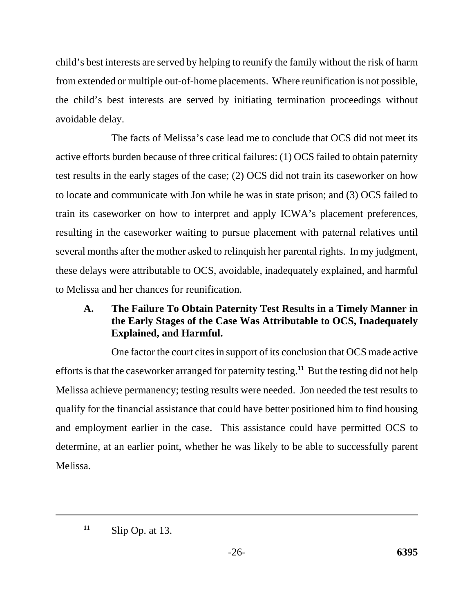child's best interests are served by helping to reunify the family without the risk of harm from extended or multiple out-of-home placements. Where reunification is not possible, the child's best interests are served by initiating termination proceedings without avoidable delay.

The facts of Melissa's case lead me to conclude that OCS did not meet its active efforts burden because of three critical failures: (1) OCS failed to obtain paternity test results in the early stages of the case; (2) OCS did not train its caseworker on how to locate and communicate with Jon while he was in state prison; and (3) OCS failed to train its caseworker on how to interpret and apply ICWA's placement preferences, resulting in the caseworker waiting to pursue placement with paternal relatives until several months after the mother asked to relinquish her parental rights. In my judgment, these delays were attributable to OCS, avoidable, inadequately explained, and harmful to Melissa and her chances for reunification.

# **A. The Failure To Obtain Paternity Test Results in a Timely Manner in the Early Stages of the Case Was Attributable to OCS, Inadequately Explained, and Harmful.**

One factor the court cites in support of its conclusion that OCS made active efforts is that the caseworker arranged for paternity testing.**<sup>11</sup>** But the testing did not help Melissa achieve permanency; testing results were needed. Jon needed the test results to qualify for the financial assistance that could have better positioned him to find housing and employment earlier in the case. This assistance could have permitted OCS to determine, at an earlier point, whether he was likely to be able to successfully parent Melissa.

Slip Op. at 13. **11**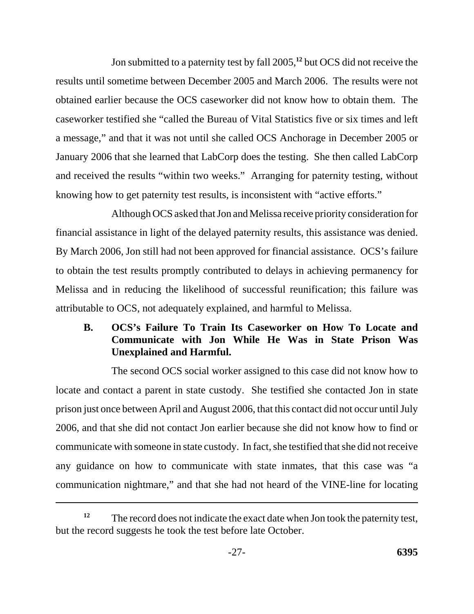Jon submitted to a paternity test by fall 2005,**<sup>12</sup>** but OCS did not receive the results until sometime between December 2005 and March 2006. The results were not obtained earlier because the OCS caseworker did not know how to obtain them. The caseworker testified she "called the Bureau of Vital Statistics five or six times and left a message," and that it was not until she called OCS Anchorage in December 2005 or January 2006 that she learned that LabCorp does the testing. She then called LabCorp and received the results "within two weeks." Arranging for paternity testing, without knowing how to get paternity test results, is inconsistent with "active efforts."

Although OCS asked that Jon and Melissa receive priority consideration for financial assistance in light of the delayed paternity results, this assistance was denied. By March 2006, Jon still had not been approved for financial assistance. OCS's failure to obtain the test results promptly contributed to delays in achieving permanency for Melissa and in reducing the likelihood of successful reunification; this failure was attributable to OCS, not adequately explained, and harmful to Melissa.

# **B. OCS's Failure To Train Its Caseworker on How To Locate and Communicate with Jon While He Was in State Prison Was Unexplained and Harmful.**

The second OCS social worker assigned to this case did not know how to locate and contact a parent in state custody. She testified she contacted Jon in state prison just once between April and August 2006, that this contact did not occur until July 2006, and that she did not contact Jon earlier because she did not know how to find or communicate with someone in state custody. In fact, she testified that she did not receive any guidance on how to communicate with state inmates, that this case was "a communication nightmare," and that she had not heard of the VINE-line for locating

The record does not indicate the exact date when Jon took the paternity test, but the record suggests he took the test before late October. **12**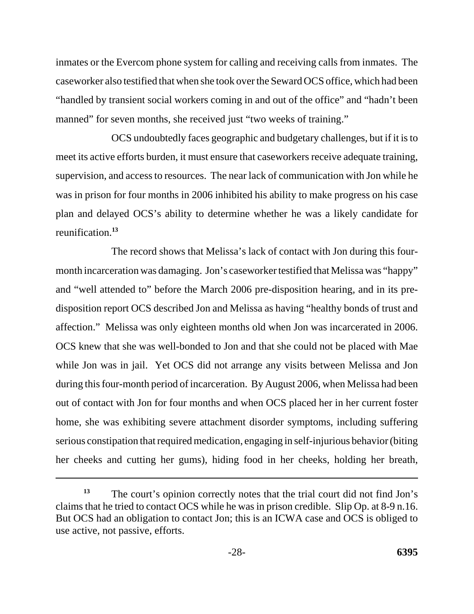inmates or the Evercom phone system for calling and receiving calls from inmates. The caseworker also testified that when she took over the Seward OCS office, which had been "handled by transient social workers coming in and out of the office" and "hadn't been manned" for seven months, she received just "two weeks of training."

OCS undoubtedly faces geographic and budgetary challenges, but if it is to meet its active efforts burden, it must ensure that caseworkers receive adequate training, supervision, and access to resources. The near lack of communication with Jon while he was in prison for four months in 2006 inhibited his ability to make progress on his case plan and delayed OCS's ability to determine whether he was a likely candidate for reunification.**<sup>13</sup>**

The record shows that Melissa's lack of contact with Jon during this fourmonth incarceration was damaging. Jon's caseworker testified that Melissa was "happy" and "well attended to" before the March 2006 pre-disposition hearing, and in its predisposition report OCS described Jon and Melissa as having "healthy bonds of trust and affection." Melissa was only eighteen months old when Jon was incarcerated in 2006. OCS knew that she was well-bonded to Jon and that she could not be placed with Mae while Jon was in jail. Yet OCS did not arrange any visits between Melissa and Jon during this four-month period of incarceration. By August 2006, when Melissa had been out of contact with Jon for four months and when OCS placed her in her current foster home, she was exhibiting severe attachment disorder symptoms, including suffering serious constipation that required medication, engaging in self-injurious behavior (biting her cheeks and cutting her gums), hiding food in her cheeks, holding her breath,

The court's opinion correctly notes that the trial court did not find Jon's claims that he tried to contact OCS while he was in prison credible. Slip Op. at 8-9 n.16. But OCS had an obligation to contact Jon; this is an ICWA case and OCS is obliged to use active, not passive, efforts. **13**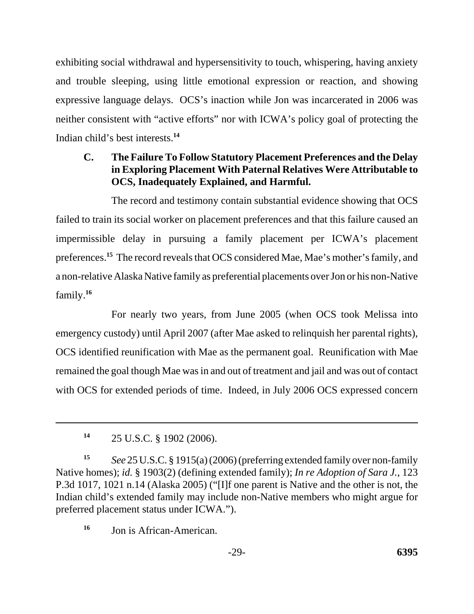exhibiting social withdrawal and hypersensitivity to touch, whispering, having anxiety and trouble sleeping, using little emotional expression or reaction, and showing expressive language delays. OCS's inaction while Jon was incarcerated in 2006 was neither consistent with "active efforts" nor with ICWA's policy goal of protecting the Indian child's best interests.**<sup>14</sup>**

# **C. The Failure To Follow Statutory Placement Preferences and the Delay in Exploring Placement With Paternal Relatives Were Attributable to OCS, Inadequately Explained, and Harmful.**

The record and testimony contain substantial evidence showing that OCS failed to train its social worker on placement preferences and that this failure caused an impermissible delay in pursuing a family placement per ICWA's placement preferences.**<sup>15</sup>** The record reveals that OCS considered Mae, Mae's mother's family, and a non-relative Alaska Native family as preferential placements over Jon or his non-Native family.**<sup>16</sup>**

For nearly two years, from June 2005 (when OCS took Melissa into emergency custody) until April 2007 (after Mae asked to relinquish her parental rights), OCS identified reunification with Mae as the permanent goal. Reunification with Mae remained the goal though Mae was in and out of treatment and jail and was out of contact with OCS for extended periods of time. Indeed, in July 2006 OCS expressed concern

**<sup>14</sup>** 25 U.S.C. § 1902 (2006).

**<sup>15</sup>***See* 25 U.S.C. § 1915(a) (2006) (preferring extended family over non-family Native homes); *id.* § 1903(2) (defining extended family); *In re Adoption of Sara J.*, 123 P.3d 1017, 1021 n.14 (Alaska 2005) ("[I]f one parent is Native and the other is not, the Indian child's extended family may include non-Native members who might argue for preferred placement status under ICWA.").

<sup>&</sup>lt;sup>16</sup> Jon is African-American.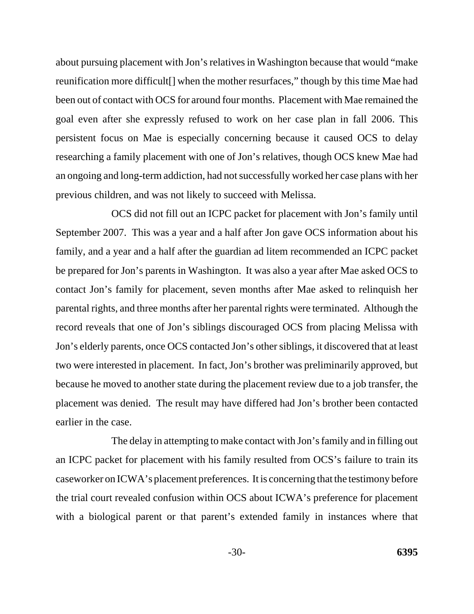about pursuing placement with Jon's relatives in Washington because that would "make reunification more difficult[] when the mother resurfaces," though by this time Mae had been out of contact with OCS for around four months. Placement with Mae remained the goal even after she expressly refused to work on her case plan in fall 2006. This persistent focus on Mae is especially concerning because it caused OCS to delay researching a family placement with one of Jon's relatives, though OCS knew Mae had an ongoing and long-term addiction, had not successfully worked her case plans with her previous children, and was not likely to succeed with Melissa.

OCS did not fill out an ICPC packet for placement with Jon's family until September 2007. This was a year and a half after Jon gave OCS information about his family, and a year and a half after the guardian ad litem recommended an ICPC packet be prepared for Jon's parents in Washington. It was also a year after Mae asked OCS to contact Jon's family for placement, seven months after Mae asked to relinquish her parental rights, and three months after her parental rights were terminated. Although the record reveals that one of Jon's siblings discouraged OCS from placing Melissa with Jon's elderly parents, once OCS contacted Jon's other siblings, it discovered that at least two were interested in placement. In fact, Jon's brother was preliminarily approved, but because he moved to another state during the placement review due to a job transfer, the placement was denied. The result may have differed had Jon's brother been contacted earlier in the case.

The delay in attempting to make contact with Jon's family and in filling out an ICPC packet for placement with his family resulted from OCS's failure to train its caseworker on ICWA's placement preferences. It is concerning that the testimony before the trial court revealed confusion within OCS about ICWA's preference for placement with a biological parent or that parent's extended family in instances where that